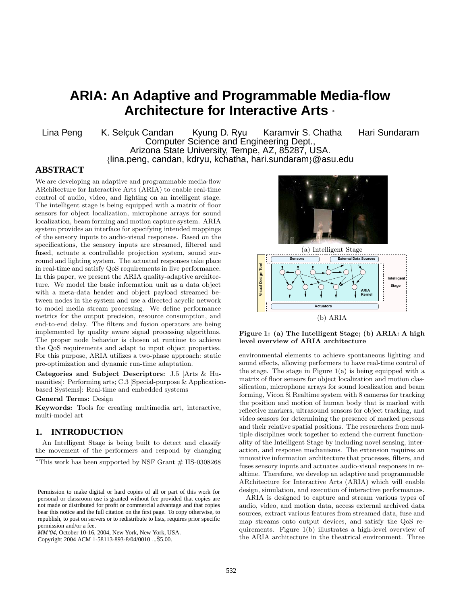# **ARIA: An Adaptive and Programmable Media-flow Architecture for Interactive Arts** <sup>∗</sup>

Lina Peng K. Selcuk Candan Kyung D. Ryu Karamvir S. Chatha Hari Sundaram Computer Science and Engineering Dept., Arizona State University, Tempe, AZ, 85287, USA. *{*lina.peng, candan, kdryu, kchatha, hari.sundaram*}*@asu.edu

## **ABSTRACT**

We are developing an adaptive and programmable media-flow ARchitecture for Interactive Arts (ARIA) to enable real-time control of audio, video, and lighting on an intelligent stage. The intelligent stage is being equipped with a matrix of floor sensors for object localization, microphone arrays for sound localization, beam forming and motion capture system. ARIA system provides an interface for specifying intended mappings of the sensory inputs to audio-visual responses. Based on the specifications, the sensory inputs are streamed, filtered and fused, actuate a controllable projection system, sound surround and lighting system. The actuated responses take place in real-time and satisfy QoS requirements in live performance. In this paper, we present the ARIA quality-adaptive architecture. We model the basic information unit as a data object with a meta-data header and object payload streamed between nodes in the system and use a directed acyclic network to model media stream processing. We define performance metrics for the output precision, resource consumption, and end-to-end delay. The filters and fusion operators are being implemented by quality aware signal processing algorithms. The proper node behavior is chosen at runtime to achieve the QoS requirements and adapt to input object properties. For this purpose, ARIA utilizes a two-phase approach: static pre-optimization and dynamic run-time adaptation.

**Categories and Subject Descriptors:** J.5 [Arts & Humanities]: Performing arts; C.3 [Special-purpose & Applicationbased Systems]: Real-time and embedded systems

#### **General Terms:** Design

**Keywords:** Tools for creating multimedia art, interactive, multi-model art

#### **1. INTRODUCTION**

An Intelligent Stage is being built to detect and classify the movement of the performers and respond by changing

*MM'04,* October 10-16, 2004, New York, New York, USA.

Copyright 2004 ACM 1-58113-893-8/04/0010 ...\$5.00.





**Figure 1: (a) The Intelligent Stage; (b) ARIA: A high level overview of ARIA architecture**

environmental elements to achieve spontaneous lighting and sound effects, allowing performers to have real-time control of the stage. The stage in Figure 1(a) is being equipped with a matrix of floor sensors for object localization and motion classification, microphone arrays for sound localization and beam forming, Vicon 8i Realtime system with 8 cameras for tracking the position and motion of human body that is marked with reflective markers, ultrasound sensors for object tracking, and video sensors for determining the presence of marked persons and their relative spatial positions. The researchers from multiple disciplines work together to extend the current functionality of the Intelligent Stage by including novel sensing, interaction, and response mechanisms. The extension requires an innovative information architecture that processes, filters, and fuses sensory inputs and actuates audio-visual responses in realtime. Therefore, we develop an adaptive and programmable ARchitecture for Interactive Arts (ARIA) which will enable design, simulation, and execution of interactive performances.

ARIA is designed to capture and stream various types of audio, video, and motion data, access external archived data sources, extract various features from streamed data, fuse and map streams onto output devices, and satisfy the QoS requirements. Figure 1(b) illustrates a high-level overview of the ARIA architecture in the theatrical environment. Three

<sup>&</sup>lt;sup>\*</sup>This work has been supported by NSF Grant  $#$  IIS-0308268

Permission to make digital or hard copies of all or part of this work for personal or classroom use is granted without fee provided that copies are not made or distributed for profit or commercial advantage and that copies bear this notice and the full citation on the first page. To copy otherwise, to republish, to post on servers or to redistribute to lists, requires prior specific permission and/or a fee.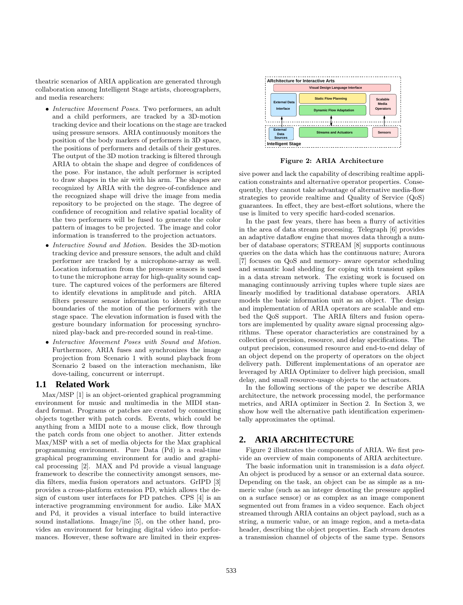theatric scenarios of ARIA application are generated through collaboration among Intelligent Stage artists, choreographers, and media researchers:

- *• Interactive Movement Poses.* Two performers, an adult and a child performers, are tracked by a 3D-motion tracking device and their locations on the stage are tracked using pressure sensors. ARIA continuously monitors the position of the body markers of performers in 3D space, the positions of performers and details of their gestures. The output of the 3D motion tracking is filtered through ARIA to obtain the shape and degree of confidences of the pose. For instance, the adult performer is scripted to draw shapes in the air with his arm. The shapes are recognized by ARIA with the degree-of-confidence and the recognized shape will drive the image from media repository to be projected on the stage. The degree of confidence of recognition and relative spatial locality of the two performers will be fused to generate the color pattern of images to be projected. The image and color information is transferred to the projection actuators.
- *• Interactive Sound and Motion.* Besides the 3D-motion tracking device and pressure sensors, the adult and child performer are tracked by a microphone-array as well. Location information from the pressure sensors is used to tune the microphone array for high-quality sound capture. The captured voices of the performers are filtered to identify elevations in amplitude and pitch. ARIA filters pressure sensor information to identify gesture boundaries of the motion of the performers with the stage space. The elevation information is fused with the gesture boundary information for processing synchronized play-back and pre-recorded sound in real-time.
- *• Interactive Movement Poses with Sound and Motion.* Furthermore, ARIA fuses and synchronizes the image projection from Scenario 1 with sound playback from Scenario 2 based on the interaction mechanism, like dove-tailing, concurrent or interrupt.

#### **1.1 Related Work**

Max/MSP [1] is an object-oriented graphical programming environment for music and multimedia in the MIDI standard format. Programs or patches are created by connecting objects together with patch cords. Events, which could be anything from a MIDI note to a mouse click, flow through the patch cords from one object to another. Jitter extends Max/MSP with a set of media objects for the Max graphical programming environment. Pure Data (Pd) is a real-time graphical programming environment for audio and graphical processing [2]. MAX and Pd provide a visual language framework to describe the connectivity amongst sensors, media filters, media fusion operators and actuators. GrIPD [3] provides a cross-platform extension PD, which allows the design of custom user interfaces for PD patches. CPS [4] is an interactive programming environment for audio. Like MAX and Pd, it provides a visual interface to build interactive sound installations. Image/ine [5], on the other hand, provides an environment for bringing digital video into performances. However, these software are limited in their expres-



**Figure 2: ARIA Architecture**

sive power and lack the capability of describing realtime application constraints and alternative operator properties. Consequently, they cannot take advantage of alternative media-flow strategies to provide realtime and Quality of Service (QoS) guarantees. In effect, they are best-effort solutions, where the use is limited to very specific hard-coded scenarios.

In the past few years, there has been a flurry of activities in the area of data stream processing. Telegraph [6] provides an adaptive dataflow engine that moves data through a number of database operators; STREAM [8] supports continuous queries on the data which has the continuous nature; Aurora [7] focuses on QoS and memory- aware operator scheduling and semantic load shedding for coping with transient spikes in a data stream network. The existing work is focused on managing continuously arriving tuples where tuple sizes are linearly modified by traditional database operators. ARIA models the basic information unit as an object. The design and implementation of ARIA operators are scalable and embed the QoS support. The ARIA filters and fusion operators are implemented by quality aware signal processing algorithms. These operator characteristics are constrained by a collection of precision, resource, and delay specifications. The output precision, consumed resource and end-to-end delay of an object depend on the property of operators on the object delivery path. Different implementations of an operator are leveraged by ARIA Optimizer to deliver high precision, small delay, and small resource-usage objects to the actuators.

In the following sections of the paper we describe ARIA architecture, the network processing model, the performance metrics, and ARIA optimizer in Section 2. In Section 3, we show how well the alternative path identification experimentally approximates the optimal.

#### **2. ARIA ARCHITECTURE**

Figure 2 illustrates the components of ARIA. We first provide an overview of main components of ARIA architecture.

The basic information unit in transmission is a *data object*. An object is produced by a sensor or an external data source. Depending on the task, an object can be as simple as a numeric value (such as an integer denoting the pressure applied on a surface sensor) or as complex as an image component segmented out from frames in a video sequence. Each object streamed through ARIA contains an object payload, such as a string, a numeric value, or an image region, and a meta-data header, describing the object properties. Each *stream* denotes a transmission channel of objects of the same type. Sensors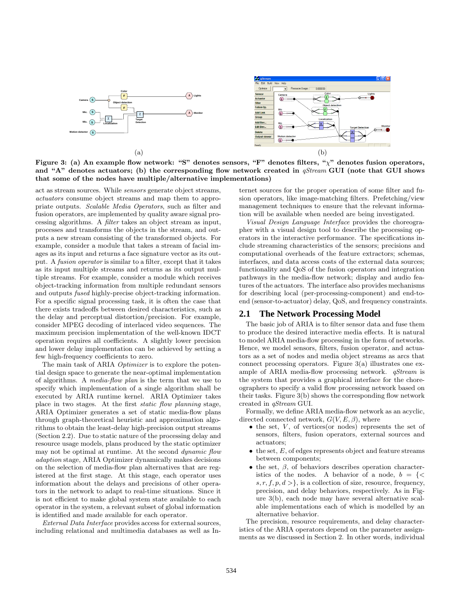

**Figure 3: (a) An example flow network: "S" denotes sensors, "F" denotes filters, "**χ**" denotes fusion operators, and "A" denotes actuators; (b) the corresponding flow network created in** *qStream* **GUI (note that GUI shows that some of the nodes have multiple/alternative implementations)**

act as stream sources. While *sensors* generate object streams, *actuators* consume object streams and map them to appropriate outputs. *Scalable Media Operators*, such as filter and fusion operators, are implemented by quality aware signal processing algorithms. A *filter* takes an object stream as input, processes and transforms the objects in the stream, and outputs a new stream consisting of the transformed objects. For example, consider a module that takes a stream of facial images as its input and returns a face signature vector as its output. A *fusion operator* is similar to a filter, except that it takes as its input multiple streams and returns as its output multiple streams. For example, consider a module which receives object-tracking information from multiple redundant sensors and outputs *fused* highly-precise object-tracking information. For a specific signal processing task, it is often the case that there exists tradeoffs between desired characteristics, such as the delay and perceptual distortion/precision. For example, consider MPEG decoding of interlaced video sequences. The maximum precision implementation of the well-known IDCT operation requires all coefficients. A slightly lower precision and lower delay implementation can be achieved by setting a few high-frequency coefficients to zero.

The main task of ARIA *Optimizer* is to explore the potential design space to generate the near-optimal implementation of algorithms. A *media-flow plan* is the term that we use to specify which implementation of a single algorithm shall be executed by ARIA runtime kernel. ARIA Optimizer takes place in two stages. At the first *static flow planning* stage, ARIA Optimizer generates a set of static media-flow plans through graph-theoretical heuristic and approximation algorithms to obtain the least-delay high-precision output streams (Section 2.2). Due to static nature of the processing delay and resource usage models, plans produced by the static optimizer may not be optimal at runtime. At the second *dynamic flow adaption* stage, ARIA Optimizer dynamically makes decisions on the selection of media-flow plan alternatives that are registered at the first stage. At this stage, each operator uses information about the delays and precisions of other operators in the network to adapt to real-time situations. Since it is not efficient to make global system state available to each operator in the system, a relevant subset of global information is identified and made available for each operator.

*External Data Interface* provides access for external sources, including relational and multimedia databases as well as Internet sources for the proper operation of some filter and fusion operators, like image-matching filters. Prefetching/view management techniques to ensure that the relevant information will be available when needed are being investigated.

*Visual Design Language Interface* provides the choreographer with a visual design tool to describe the processing operators in the interactive performance. The specifications include streaming characteristics of the sensors; precisions and computational overheads of the feature extractors; schemas, interfaces, and data access costs of the external data sources; functionality and QoS of the fusion operators and integration pathways in the media-flow network; display and audio features of the actuators. The interface also provides mechanisms for describing local (per-processing-component) and end-toend (sensor-to-actuator) delay, QoS, and frequency constraints.

#### **2.1 The Network Processing Model**

The basic job of ARIA is to filter sensor data and fuse them to produce the desired interactive media effects. It is natural to model ARIA media-flow processing in the form of networks. Hence, we model sensors, filters, fusion operator, and actuators as a set of nodes and media object streams as arcs that connect processing operators. Figure 3(a) illustrates one example of ARIA media-flow processing network. *qStream* is the system that provides a graphical interface for the choreographers to specify a valid flow processing network based on their tasks. Figure 3(b) shows the corresponding flow network created in *qStream* GUI.

Formally, we define ARIA media-flow network as an acyclic, directed connected network,  $G(V, E, \beta)$ , where

- the set, V, of vertices (or nodes) represents the set of sensors, filters, fusion operators, external sources and actuators;
- the set, E, of edges represents object and feature streams between components;
- *•* the set, <sup>β</sup>, of behaviors describes operation characteristics of the nodes. A behavior of a node,  $b = \{\leq$  $s, r, f, p, d > \}$ , is a collection of size, resource, frequency, precision, and delay behaviors, respectively. As in Figure 3(b), each node may have several alternative scalable implementations each of which is modelled by an alternative behavior.

The precision, resource requirements, and delay characteristics of the ARIA operators depend on the parameter assignments as we discussed in Section 2. In other words, individual